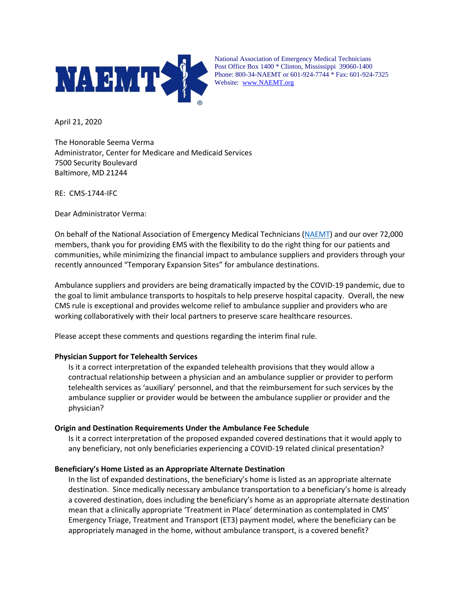

National Association of Emergency Medical Technicians Post Office Box 1400 \* Clinton, Mississippi 39060-1400 Phone: 800-34-NAEMT or 601-924-7744 \* Fax: 601-924-7325 Website: [www.NAEMT.org](http://www.naemt.org/)

April 21, 2020

The Honorable Seema Verma Administrator, Center for Medicare and Medicaid Services 7500 Security Boulevard Baltimore, MD 21244

RE: CMS-1744-IFC

Dear Administrator Verma:

On behalf of the National Association of Emergency Medical Technicians [\(NAEMT\)](http://www.naemt.org/) and our over 72,000 members, thank you for providing EMS with the flexibility to do the right thing for our patients and communities, while minimizing the financial impact to ambulance suppliers and providers through your recently announced "Temporary Expansion Sites" for ambulance destinations.

Ambulance suppliers and providers are being dramatically impacted by the COVID-19 pandemic, due to the goal to limit ambulance transports to hospitals to help preserve hospital capacity. Overall, the new CMS rule is exceptional and provides welcome relief to ambulance supplier and providers who are working collaboratively with their local partners to preserve scare healthcare resources.

Please accept these comments and questions regarding the interim final rule.

## **Physician Support for Telehealth Services**

Is it a correct interpretation of the expanded telehealth provisions that they would allow a contractual relationship between a physician and an ambulance supplier or provider to perform telehealth services as 'auxiliary' personnel, and that the reimbursement for such services by the ambulance supplier or provider would be between the ambulance supplier or provider and the physician?

## **Origin and Destination Requirements Under the Ambulance Fee Schedule**

Is it a correct interpretation of the proposed expanded covered destinations that it would apply to any beneficiary, not only beneficiaries experiencing a COVID-19 related clinical presentation?

## **Beneficiary's Home Listed as an Appropriate Alternate Destination**

In the list of expanded destinations, the beneficiary's home is listed as an appropriate alternate destination. Since medically necessary ambulance transportation to a beneficiary's home is already a covered destination, does including the beneficiary's home as an appropriate alternate destination mean that a clinically appropriate 'Treatment in Place' determination as contemplated in CMS' Emergency Triage, Treatment and Transport (ET3) payment model, where the beneficiary can be appropriately managed in the home, without ambulance transport, is a covered benefit?